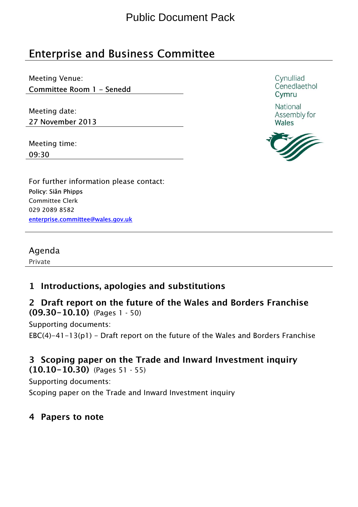# Enterprise and Business Committee

Meeting Venue: Committee Room 1 - Senedd

Meeting date: 27 November 2013

Meeting time: 09:30

Cynulliad Cenedlaethol Cymru

National Assembly for Wales



For further information please contact: Policy: Siân Phipps Committee Clerk 029 2089 8582 enterprise.committee@wales.gov.uk

Agenda

Private

### 1 Introductions, apologies and substitutions

2 Draft report on the future of the Wales and Borders Franchise (09.30-10.10) (Pages 1 - 50)

Supporting documents:

EBC(4)-41-13(p1) - Draft report on the future of the Wales and Borders Franchise

#### 3 Scoping paper on the Trade and Inward Investment inquiry (10.10-10.30) (Pages 51 - 55)

Supporting documents:

Scoping paper on the Trade and Inward Investment inquiry

### 4 Papers to note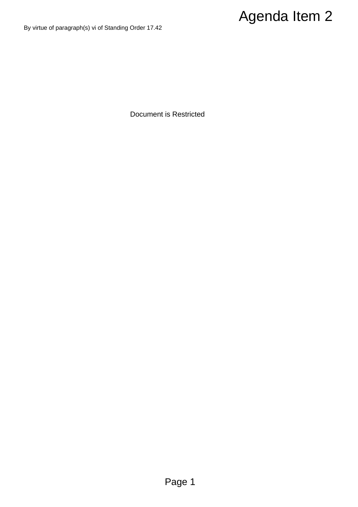# Agenda Item 2

By virtue of paragraph(s) vi of Standing Order 17.42

Document is Restricted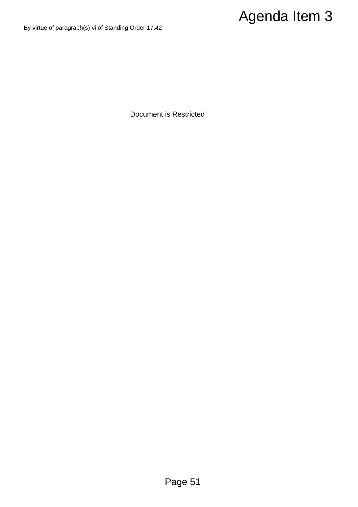# Agenda Item 3

By virtue of paragraph(s) vi of Standing Order 17.42

Document is Restricted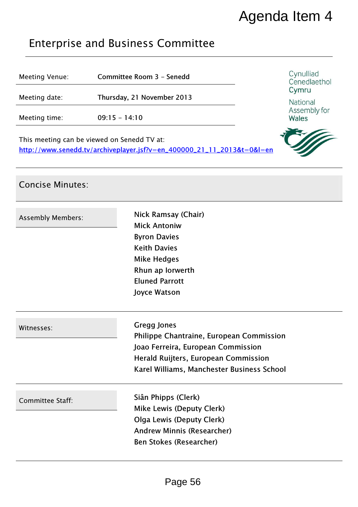# Agenda Item 4

## Enterprise and Business Committee

Concise Minutes:

| Meeting Venue:                                                                                                        | Committee Room 3 - Senedd  | Cynulliad<br>Cenedlaethol<br>Cymru<br>National<br>Assembly for<br>Wales |
|-----------------------------------------------------------------------------------------------------------------------|----------------------------|-------------------------------------------------------------------------|
| Meeting date:                                                                                                         | Thursday, 21 November 2013 |                                                                         |
| Meeting time:                                                                                                         | $09:15 - 14:10$            |                                                                         |
| This meeting can be viewed on Senedd TV at:<br>http://www.senedd.tv/archiveplayer.jsf?v=en_400000_21_11_2013&t=0&l=en |                            |                                                                         |

# Assembly Members: Nick Ramsay (Chair) Mick Antoniw Byron Davies Keith Davies Mike Hedges Rhun ap Iorwerth Eluned Parrott Joyce Watson Witnesses: Gregg Jones Philippe Chantraine, European Commission Joao Ferreira, European Commission Herald Ruijters, European Commission Karel Williams, Manchester Business School Committee Staff: Siân Phipps (Clerk) Mike Lewis (Deputy Clerk) Olga Lewis (Deputy Clerk) Andrew Minnis (Researcher) Ben Stokes (Researcher)